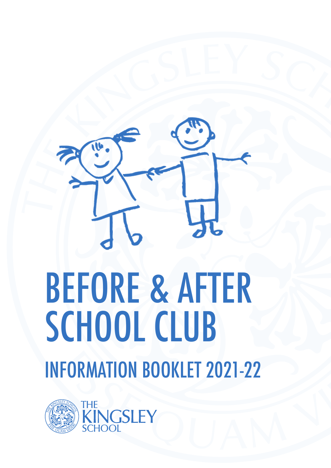

# BEFORE & AFTER SCHOOL CLUB INFORMATION BOOKLET 2021-22



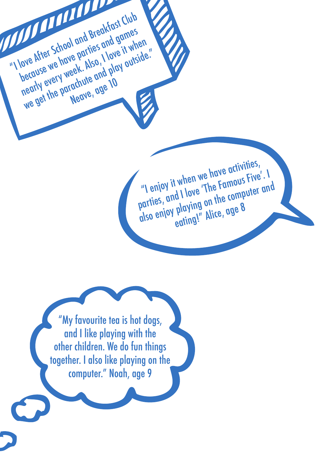"I enjoy it when we have activities, parties, and I love 'The Famous Five'. I<br>parties, and I love 'The Famous Five'. I<br>also enjoy playing on the computer and "I enjoy IT where 'The Famous ."<br>parties, and I love 'The computer and<br>also enjoy playing on the computer and eating!" Alice, age 8

"My favourite tea is hot dogs, and I like playing with the other children. We do fun things together. I also like playing on the computer." Noah, age 9

"I love After School and Breakfast Club

because we have parties and games

nearly every week. Also, I love it when

we After Sthowe partles I love IT wiside."<br>Jecause we have partles I love IT wiside."<br>Jearly every week. Also, I love IT wiside."<br>Nearly every weave, age 10

iachute <sup>an</sup>ge 10<br>Neave<sub>r</sub>age 10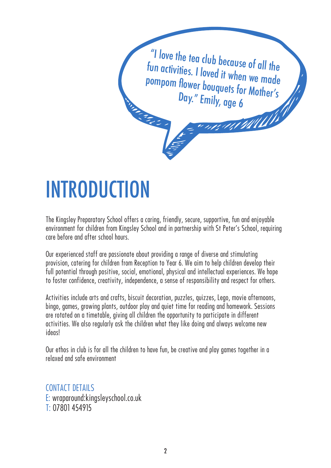

### INTRODUCTION

The Kingsley Preparatory School offers a caring, friendly, secure, supportive, fun and enjoyable environment for children from Kingsley School and in partnership with St Peter's School, requiring care before and after school hours.

Our experienced staff are passionate about providing a range of diverse and stimulating provision, catering for children from Reception to Year 6. We aim to help children develop their full potential through positive, social, emotional, physical and intellectual experiences. We hope to foster confidence, creativity, independence, a sense of responsibility and respect for others.

Activities include arts and crafts, biscuit decoration, puzzles, quizzes, Lego, movie afternoons, bingo, games, growing plants, outdoor play and quiet time for reading and homework. Sessions are rotated on a timetable, giving all children the opportunity to participate in different activities. We also regularly ask the children what they like doing and always welcome new ideas!

Our ethos in club is for all the children to have fun, be creative and play games together in a relaxed and safe environment

#### CONTACT DETAILS E: wraparound:kingsleyschool.co.uk

T: 07801 454915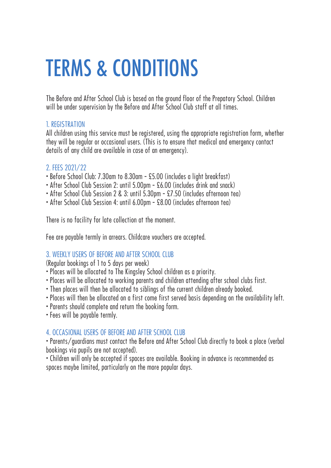### TERMS & CONDITIONS

The Before and After School Club is based on the ground floor of the Prepatory School. Children will be under supervision by the Before and After School Club staff at all times.

#### 1. REGISTRATION

All children using this service must be registered, using the appropriate registration form, whether they will be regular or occasional users. (This is to ensure that medical and emergency contact details of any child are available in case of an emergency).

#### 2. FEES 2021/22

- Before School Club: 7.30am to 8.30am £5.00 (includes a light breakfast)
- After School Club Session 2: until 5.00pm £6.00 (includes drink and snack)
- After School Club Session 2 & 3: until 5.30pm £7.50 (includes afternoon tea)
- After School Club Session 4: until 6.00pm £8.00 (includes afternoon tea)

There is no facility for late collection at the moment.

Fee are payable termly in arrears. Childcare vouchers are accepted.

#### 3. WEEKLY USERS OF BEFORE AND AFTER SCHOOL CLUB

(Regular bookings of 1 to 5 days per week)

- Places will be allocated to The Kingsley School children as a priority.
- Places will be allocated to working parents and children attending after school clubs first.
- Then places will then be allocated to siblings of the current children already booked.
- Places will then be allocated on a first come first served basis depending on the availability left.
- Parents should complete and return the booking form.
- Fees will be payable termly.

#### 4. OCCASIONAL USERS OF BEFORE AND AFTER SCHOOL CLUB

• Parents/guardians must contact the Before and After School Club directly to book a place (verbal bookings via pupils are not accepted).

• Children will only be accepted if spaces are available. Booking in advance is recommended as spaces maybe limited, particularly on the more popular days.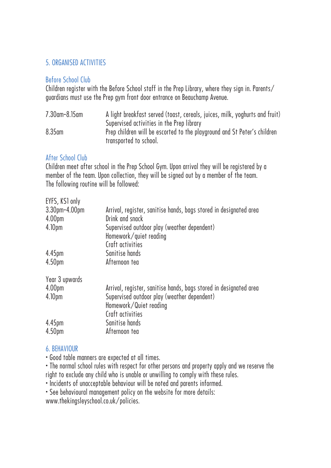#### 5. ORGANISED ACTIVITIES

#### Before School Club

Children register with the Before School staff in the Prep Library, where they sign in. Parents/ guardians must use the Prep gym front door entrance on Beauchamp Avenue.

| 7.30am-8.15am | A light breakfast served (toast, cereals, juices, milk, yoghurts and fruit) |
|---------------|-----------------------------------------------------------------------------|
|               | Supervised activities in the Prep library                                   |
| $8.35$ am     | Prep children will be escorted to the playground and St Peter's children    |
|               | transported to school.                                                      |

#### After School Club

Children meet after school in the Prep School Gym. Upon arrival they will be registered by a member of the team. Upon collection, they will be signed out by a member of the team. The following routine will be followed:

| EYFS, KS1 only     |                                                                   |
|--------------------|-------------------------------------------------------------------|
| 3.30pm-4.00pm      | Arrival, register, sanitise hands, bags stored in designated area |
| 4.00 <sub>pm</sub> | Drink and snack                                                   |
| 4.10 <sub>pm</sub> | Supervised outdoor play (weather dependent)                       |
|                    | Homework/quiet reading                                            |
|                    | Craft activities                                                  |
| 4.45 <sub>pm</sub> | Sanitise hands                                                    |
| 4.50 <sub>pm</sub> | Afternoon tea                                                     |
| Year 3 upwards     |                                                                   |
| 4.00 <sub>pm</sub> | Arrival, register, sanitise hands, bags stored in designated area |
| 4.10 <sub>pm</sub> | Supervised outdoor play (weather dependent)                       |
|                    | Homework/Quiet reading                                            |
|                    | Craft activities                                                  |
| 4.45pm             | Sanitise hands                                                    |
| 4.50 <sub>pm</sub> | Afternoon tea                                                     |
|                    |                                                                   |

#### 6. BEHAVIOUR

• Good table manners are expected at all times.

• The normal school rules with respect for other persons and property apply and we reserve the right to exclude any child who is unable or unwilling to comply with these rules.

• Incidents of unacceptable behaviour will be noted and parents informed.

• See behavioural management policy on the website for more details:

www.thekingsleyschool.co.uk/policies.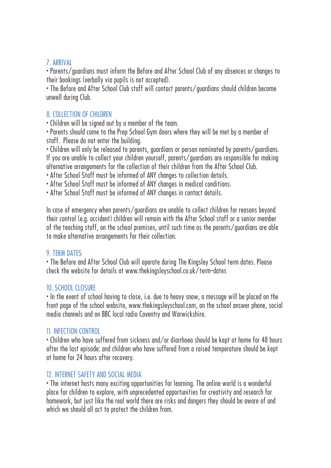#### 7. ARRIVAL

• Parents/guardians must inform the Before and After School Club of any absences or changes to their bookings (verbally via pupils is not accepted).

• The Before and After School Club staff will contact parents/guardians should children become unwell during Club.

#### 8. COLLECTION OF CHILDREN

• Children will be signed out by a member of the team.

• Parents should come to the Prep School Gym doors where they will be met by a member of staff. Please do not enter the building.

• Children will only be released to parents, guardians or person nominated by parents/guardians. If you are unable to collect your children yourself, parents/guardians are responsible for making alternative arrangements for the collection of their children from the After School Club.

• After School Staff must be informed of ANY changes to collection details.

• After School Staff must be informed of ANY changes in medical conditions.

• After School Staff must be informed of ANY changes in contact details.

In case of emergency when parents/guardians are unable to collect children for reasons beyond their control (e.g. accident) children will remain with the After School staff or a senior member of the teaching staff, on the school premises, until such time as the parents/guardians are able to make alternative arrangements for their collection.

#### 9. TERM DATES

• The Before and After School Club will operate during The Kingsley School term dates. Please check the website for details at www.thekingsleyschool.co.uk/term-dates

#### 10. SCHOOL CLOSURE

• In the event of school having to close, i.e. due to heavy snow, a message will be placed on the front page of the school website, www.thekingsleyschool.com, on the school answer phone, social media channels and on BBC local radio Coventry and Warwickshire.

#### 11. INFECTION CONTROL

• Children who have suffered from sickness and/or diarrhoea should be kept at home for 48 hours after the last episode: and children who have suffered from a raised temperature should be kept at home for 24 hours after recovery.

#### 12. INTERNET SAFETY AND SOCIAL MEDIA

• The internet hosts many exciting opportunities for learning. The online world is a wonderful place for children to explore, with unprecedented opportunities for creativity and research for homework, but just like the real world there are risks and dangers they should be aware of and which we should all act to protect the children from.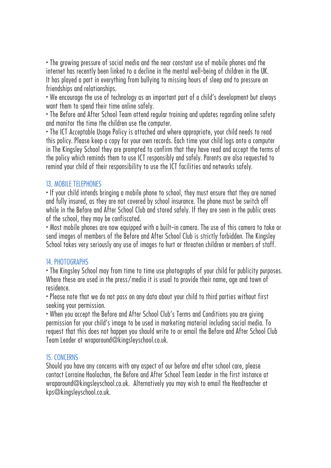• The growing pressure of social media and the near constant use of mobile phones and the internet has recently been linked to a decline in the mental well-being of children in the UK. It has played a part in everything from bullying to missing hours of sleep and to pressure on friendships and relationships.

• We encourage the use of technology as an important part of a child's development but always want them to spend their time online safely.

• The Before and After School Team attend regular training and updates regarding online safety and monitor the time the children use the computer.

• The ICT Acceptable Usage Policy is attached and where appropriate, your child needs to read this policy. Please keep a copy for your own records. Each time your child logs onto a computer in The Kingsley School they are prompted to confirm that they have read and accept the terms of the policy which reminds them to use ICT responsibly and safely. Parents are also requested to remind your child of their responsibility to use the ICT facilities and networks safely.

#### 13. MOBILE TELEPHONES

• If your child intends bringing a mobile phone to school, they must ensure that they are named and fully insured, as they are not covered by school insurance. The phone must be switch off while in the Before and After School Club and stored safely. If they are seen in the public areas of the school, they may be confiscated.

• Most mobile phones are now equipped with a built-in camera. The use of this camera to take or send images of members of the Before and After School Club is strictly forbidden. The Kingsley School takes very seriously any use of images to hurt or threaten children or members of staff.

#### 14. PHOTOGRAPHS

• The Kingsley School may from time to time use photographs of your child for publicity purposes. Where these are used in the press/media it is usual to provide their name, age and town of residence.

• Please note that we do not pass on any data about your child to third parties without first seeking your permission.

• When you accept the Before and After School Club's Terms and Conditions you are giving permission for your child's image to be used in marketing material including social media. To request that this does not happen you should write to or email the Before and After School Club Team Leader at wraparound@kingsleyschool.co.uk.

#### 15. CONCERNS

Should you have any concerns with any aspect of our before and after school care, please contact Lorraine Hoolachan, the Before and After School Team Leader in the first instance at wraparound@kingsleyschool.co.uk. Alternatively you may wish to email the Headteacher at kps@kingsleyschool.co.uk.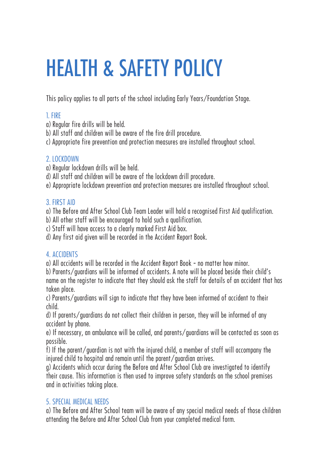## HEALTH & SAFETY POLICY

This policy applies to all parts of the school including Early Years/Foundation Stage.

#### 1. FIRE

- a) Regular fire drills will be held.
- b) All staff and children will be aware of the fire drill procedure.
- c) Appropriate fire prevention and protection measures are installed throughout school.

#### 2. LOCKDOWN

- a) Regular lockdown drills will be held.
- d) All staff and children will be aware of the lockdown drill procedure.
- e) Appropriate lockdown prevention and protection measures are installed throughout school.

#### 3. FIRST AID

a) The Before and After School Club Team Leader will hold a recognised First Aid qualification.

- b) All other staff will be encouraged to hold such a qualification.
- c) Staff will have access to a clearly marked First Aid box.
- d) Any first aid given will be recorded in the Accident Report Book.

#### 4. ACCIDENTS

a) All accidents will be recorded in the Accident Report Book - no matter how minor.

b) Parents/guardians will be informed of accidents. A note will be placed beside their child's name on the register to indicate that they should ask the staff for details of an accident that has taken place.

c) Parents/guardians will sign to indicate that they have been informed of accident to their child.

d) If parents/guardians do not collect their children in person, they will be informed of any accident by phone.

e) If necessary, an ambulance will be called, and parents/guardians will be contacted as soon as possible.

f) If the parent/guardian is not with the injured child, a member of staff will accompany the injured child to hospital and remain until the parent/guardian arrives.

g) Accidents which occur during the Before and After School Club are investigated to identify their cause. This information is then used to improve safety standards on the school premises and in activities taking place.

#### 5. SPECIAL MEDICAL NEEDS

a) The Before and After School team will be aware of any special medical needs of those children attending the Before and After School Club from your completed medical form.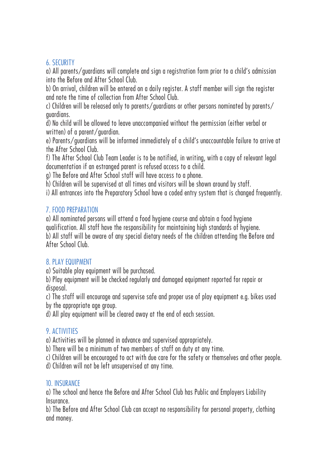#### 6. SECURITY

a) All parents/guardians will complete and sign a registration form prior to a child's admission into the Before and After School Club.

b) On arrival, children will be entered on a daily register. A staff member will sign the register and note the time of collection from After School Club.

c) Children will be released only to parents/guardians or other persons nominated by parents/ guardians.

d) No child will be allowed to leave unaccompanied without the permission (either verbal or written) of a parent/guardian.

e) Parents/guardians will be informed immediately of a child's unaccountable failure to arrive at the After School Club.

f) The After School Club Team Leader is to be notified, in writing, with a copy of relevant legal documentation if an estranged parent is refused access to a child.

g) The Before and After School staff will have access to a phone.

h) Children will be supervised at all times and visitors will be shown around by staff.

i) All entrances into the Preparatory School have a coded entry system that is changed frequently.

#### 7. FOOD PREPARATION

a) All nominated persons will attend a food hygiene course and obtain a food hygiene qualification. All staff have the responsibility for maintaining high standards of hygiene. b) All staff will be aware of any special dietary needs of the children attending the Before and After School Club.

#### 8. PLAY EQUIPMENT

a) Suitable play equipment will be purchased.

b) Play equipment will be checked regularly and damaged equipment reported for repair or disposal.

c) The staff will encourage and supervise safe and proper use of play equipment e.g. bikes used by the appropriate age group.

d) All play equipment will be cleared away at the end of each session.

#### 9. ACTIVITIES

a) Activities will be planned in advance and supervised appropriately.

b) There will be a minimum of two members of staff on duty at any time.

c) Children will be encouraged to act with due care for the safety or themselves and other people.

d) Children will not be left unsupervised at any time.

#### 10. INSURANCE

a) The school and hence the Before and After School Club has Public and Employers Liability Insurance.

b) The Before and After School Club can accept no responsibility for personal property, clothing and money.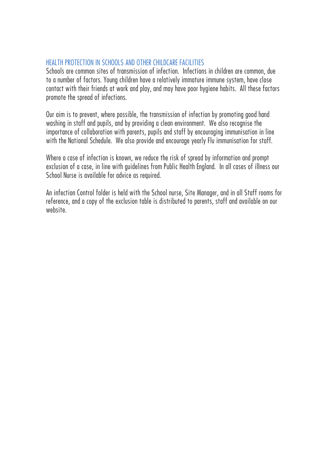#### HEALTH PROTECTION IN SCHOOLS AND OTHER CHILDCARE FACILITIES

Schools are common sites of transmission of infection. Infections in children are common, due to a number of factors. Young children have a relatively immature immune system, have close contact with their friends at work and play, and may have poor hygiene habits. All these factors promote the spread of infections.

Our aim is to prevent, where possible, the transmission of infection by promoting good hand washing in staff and pupils, and by providing a clean environment. We also recognise the importance of collaboration with parents, pupils and staff by encouraging immunisation in line with the National Schedule. We also provide and encourage yearly Flu immunisation for staff.

Where a case of infection is known, we reduce the risk of spread by information and prompt exclusion of a case, in line with guidelines from Public Health England. In all cases of illness our School Nurse is available for advice as required.

An infection Control folder is held with the School nurse, Site Manager, and in all Staff rooms for reference, and a copy of the exclusion table is distributed to parents, staff and available on our website.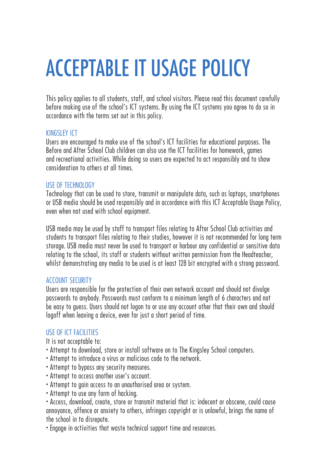## ACCEPTABLE IT USAGE POLICY

This policy applies to all students, staff, and school visitors. Please read this document carefully before making use of the school's ICT systems. By using the ICT systems you agree to do so in accordance with the terms set out in this policy.

#### KINGSLEY ICT

Users are encouraged to make use of the school's ICT facilities for educational purposes. The Before and After School Club children can also use the ICT facilities for homework, games and recreational activities. While doing so users are expected to act responsibly and to show consideration to others at all times.

#### USE OF TECHNOLOGY

Technology that can be used to store, transmit or manipulate data, such as laptops, smartphones or USB media should be used responsibly and in accordance with this ICT Acceptable Usage Policy, even when not used with school equipment.

USB media may be used by staff to transport files relating to After School Club activities and students to transport files relating to their studies, however it is not recommended for long term storage. USB media must never be used to transport or harbour any confidential or sensitive data relating to the school, its staff or students without written permission from the Headteacher, whilst demonstrating any media to be used is at least 128 bit encrypted with a strong password.

#### ACCOUNT SECURITY

Users are responsible for the protection of their own network account and should not divulge passwords to anybody. Passwords must conform to a minimum length of 6 characters and not be easy to guess. Users should not logon to or use any account other that their own and should logoff when leaving a device, even for just a short period of time.

#### USE OF ICT FACILITIES

It is not acceptable to:

- Attempt to download, store or install software on to The Kingsley School computers.
- Attempt to introduce a virus or malicious code to the network.
- Attempt to bypass any security measures.
- Attempt to access another user's account.
- Attempt to gain access to an unauthorised area or system.
- Attempt to use any form of hacking.

• Access, download, create, store or transmit material that is: indecent or obscene, could cause annoyance, offence or anxiety to others, infringes copyright or is unlawful, brings the name of the school in to disrepute.

• Engage in activities that waste technical support time and resources.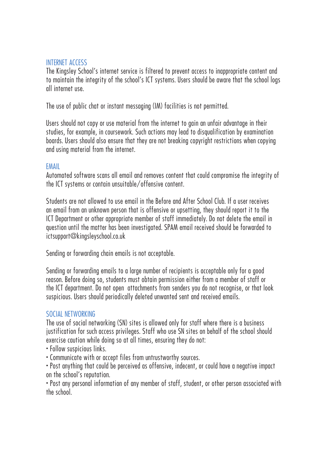#### INTERNET ACCESS

The Kingsley School's internet service is filtered to prevent access to inappropriate content and to maintain the integrity of the school's ICT systems. Users should be aware that the school logs all internet use.

The use of public chat or instant messaging (IM) facilities is not permitted.

Users should not copy or use material from the internet to gain an unfair advantage in their studies, for example, in coursework. Such actions may lead to disqualification by examination boards. Users should also ensure that they are not breaking copyright restrictions when copying and using material from the internet.

#### EMAIL

Automated software scans all email and removes content that could compromise the integrity of the ICT systems or contain unsuitable/offensive content.

Students are not allowed to use email in the Before and After School Club. If a user receives an email from an unknown person that is offensive or upsetting, they should report it to the ICT Department or other appropriate member of staff immediately. Do not delete the email in question until the matter has been investigated. SPAM email received should be forwarded to ictsupport@kingsleyschool.co.uk

Sending or forwarding chain emails is not acceptable.

Sending or forwarding emails to a large number of recipients is acceptable only for a good reason. Before doing so, students must obtain permission either from a member of staff or the ICT department. Do not open attachments from senders you do not recognise, or that look suspicious. Users should periodically deleted unwanted sent and received emails.

#### SOCIAL NETWORKING

The use of social networking (SN) sites is allowed only for staff where there is a business justification for such access privileges. Staff who use SN sites on behalf of the school should exercise caution while doing so at all times, ensuring they do not:

- Follow suspicious links.
- Communicate with or accept files from untrustworthy sources.
- Post anything that could be perceived as offensive, indecent, or could have a negative impact on the school's reputation.

• Post any personal information of any member of staff, student, or other person associated with the school.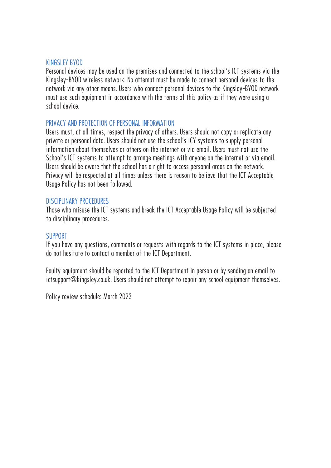#### KINGSLEY BYOD

Personal devices may be used on the premises and connected to the school's ICT systems via the Kingsley-BYOD wireless network. No attempt must be made to connect personal devices to the network via any other means. Users who connect personal devices to the Kingsley-BYOD network must use such equipment in accordance with the terms of this policy as if they were using a school device.

#### PRIVACY AND PROTECTION OF PERSONAL INFORMATION

Users must, at all times, respect the privacy of others. Users should not copy or replicate any private or personal data. Users should not use the school's ICY systems to supply personal information about themselves or others on the internet or via email. Users must not use the School's ICT systems to attempt to arrange meetings with anyone on the internet or via email. Users should be aware that the school has a right to access personal areas on the network. Privacy will be respected at all times unless there is reason to believe that the ICT Acceptable Usage Policy has not been followed.

#### DISCIPLINARY PROCEDURES

Those who misuse the ICT systems and break the ICT Acceptable Usage Policy will be subjected to disciplinary procedures.

#### **SUPPORT**

If you have any questions, comments or requests with regards to the ICT systems in place, please do not hesitate to contact a member of the ICT Department.

Faulty equipment should be reported to the ICT Department in person or by sending an email to ictsupport@kingsley.co.uk. Users should not attempt to repair any school equipment themselves.

Policy review schedule: March 2023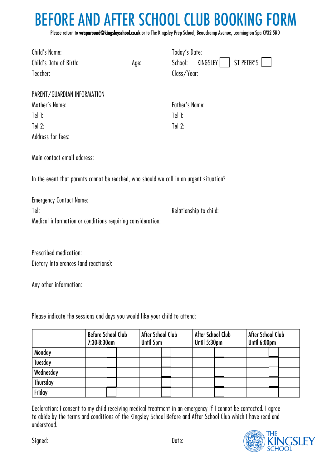### BEFORE AND AFTER SCHOOL CLUB BOOKING FORM

Please return to wraparound@kingsleyschool.co.uk or to The Kingsley Prep School, Beauchamp Avenue, Leamington Spa CV32 5RD

| Child's Name:                                                                           |      | Today's Date:  |                        |  |  |  |  |  |
|-----------------------------------------------------------------------------------------|------|----------------|------------------------|--|--|--|--|--|
| Child's Date of Birth:                                                                  | Age: | School:        | ST PETER'S<br>KINGSLEY |  |  |  |  |  |
| Teacher:                                                                                |      | Class/Year:    |                        |  |  |  |  |  |
|                                                                                         |      |                |                        |  |  |  |  |  |
| PARENT/GUARDIAN INFORMATION                                                             |      |                |                        |  |  |  |  |  |
| Mother's Name:                                                                          |      | Father's Name: |                        |  |  |  |  |  |
| $Iel$ $I:$                                                                              |      | $Tel$ $!$      |                        |  |  |  |  |  |
| Tel $2:$                                                                                |      | Tel $2:$       |                        |  |  |  |  |  |
| Address for fees:                                                                       |      |                |                        |  |  |  |  |  |
|                                                                                         |      |                |                        |  |  |  |  |  |
| Main contact email address:                                                             |      |                |                        |  |  |  |  |  |
|                                                                                         |      |                |                        |  |  |  |  |  |
| In the event that parents cannot be reached, who should we call in an urgent situation? |      |                |                        |  |  |  |  |  |
|                                                                                         |      |                |                        |  |  |  |  |  |
| <b>Emergency Contact Name:</b>                                                          |      |                |                        |  |  |  |  |  |
| Tel:                                                                                    |      |                | Relationship to child: |  |  |  |  |  |
| Medical information or conditions requiring consideration:                              |      |                |                        |  |  |  |  |  |
|                                                                                         |      |                |                        |  |  |  |  |  |
|                                                                                         |      |                |                        |  |  |  |  |  |
| Prescribed medication:                                                                  |      |                |                        |  |  |  |  |  |

Dietary Intolerances (and reactions):

Any other information:

Please indicate the sessions and days you would like your child to attend:

|                | <b>Before School Club</b><br>7:30-8:30am |  | After School Club<br>Until 5pm |  | After School Club<br>Until 5:30pm |  |  | After School Club<br>Until 6:00pm |  |  |  |  |
|----------------|------------------------------------------|--|--------------------------------|--|-----------------------------------|--|--|-----------------------------------|--|--|--|--|
| Monday         |                                          |  |                                |  |                                   |  |  |                                   |  |  |  |  |
| <b>Tuesday</b> |                                          |  |                                |  |                                   |  |  |                                   |  |  |  |  |
| Wednesday      |                                          |  |                                |  |                                   |  |  |                                   |  |  |  |  |
| Thursday       |                                          |  |                                |  |                                   |  |  |                                   |  |  |  |  |
| Friday         |                                          |  |                                |  |                                   |  |  |                                   |  |  |  |  |

Declaration: I consent to my child receiving medical treatment in an emergency if I cannot be contacted. I agree to abide by the terms and conditions of the Kingsley School Before and After School Club which I have read and understood.



Signed: Date: Date: Date: Date: Date: Date: Date: Date: Date: Date: Date: Date: Date: Date: Date: Date: Date: Date: Date: Date: Date: Date: Date: Date: Date: Date: Date: Date: Date: Date: Date: Date: Date: Date: Date: Date